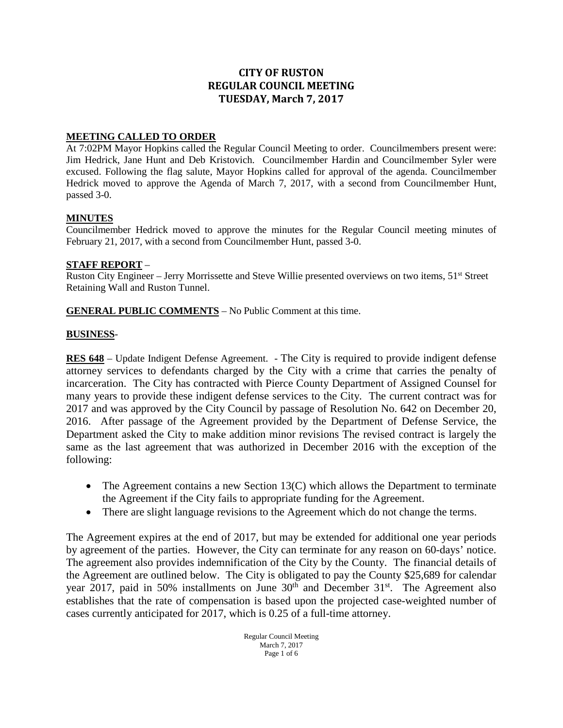# **CITY OF RUSTON REGULAR COUNCIL MEETING TUESDAY, March 7, 2017**

# **MEETING CALLED TO ORDER**

At 7:02PM Mayor Hopkins called the Regular Council Meeting to order. Councilmembers present were: Jim Hedrick, Jane Hunt and Deb Kristovich. Councilmember Hardin and Councilmember Syler were excused. Following the flag salute, Mayor Hopkins called for approval of the agenda. Councilmember Hedrick moved to approve the Agenda of March 7, 2017, with a second from Councilmember Hunt, passed 3-0.

#### **MINUTES**

Councilmember Hedrick moved to approve the minutes for the Regular Council meeting minutes of February 21, 2017, with a second from Councilmember Hunt, passed 3-0.

# **STAFF REPORT** –

Ruston City Engineer – Jerry Morrissette and Steve Willie presented overviews on two items, 51<sup>st</sup> Street Retaining Wall and Ruston Tunnel.

**GENERAL PUBLIC COMMENTS** – No Public Comment at this time.

#### **BUSINESS**-

**RES 648** – Update Indigent Defense Agreement. - The City is required to provide indigent defense attorney services to defendants charged by the City with a crime that carries the penalty of incarceration. The City has contracted with Pierce County Department of Assigned Counsel for many years to provide these indigent defense services to the City. The current contract was for 2017 and was approved by the City Council by passage of Resolution No. 642 on December 20, 2016. After passage of the Agreement provided by the Department of Defense Service, the Department asked the City to make addition minor revisions The revised contract is largely the same as the last agreement that was authorized in December 2016 with the exception of the following:

- The Agreement contains a new Section  $13(C)$  which allows the Department to terminate the Agreement if the City fails to appropriate funding for the Agreement.
- There are slight language revisions to the Agreement which do not change the terms.

The Agreement expires at the end of 2017, but may be extended for additional one year periods by agreement of the parties. However, the City can terminate for any reason on 60-days' notice. The agreement also provides indemnification of the City by the County. The financial details of the Agreement are outlined below. The City is obligated to pay the County \$25,689 for calendar year 2017, paid in 50% installments on June  $30<sup>th</sup>$  and December  $31<sup>st</sup>$ . The Agreement also establishes that the rate of compensation is based upon the projected case-weighted number of cases currently anticipated for 2017, which is 0.25 of a full-time attorney.

> Regular Council Meeting March 7, 2017 Page 1 of 6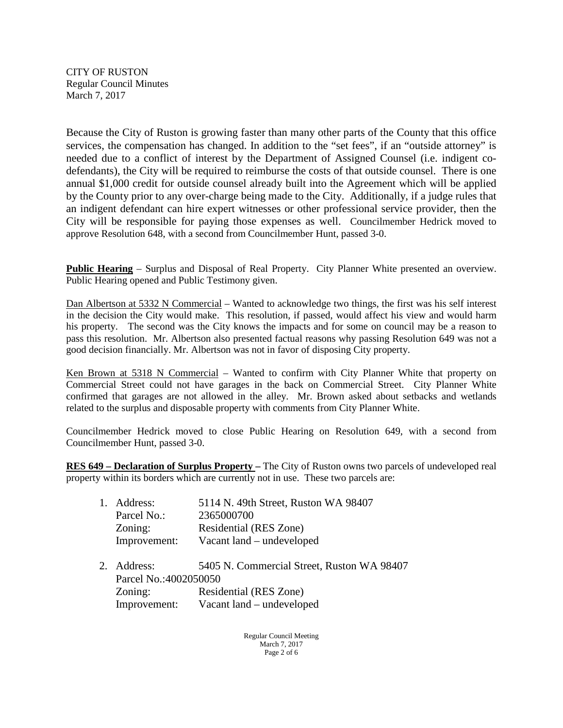Because the City of Ruston is growing faster than many other parts of the County that this office services, the compensation has changed. In addition to the "set fees", if an "outside attorney" is needed due to a conflict of interest by the Department of Assigned Counsel (i.e. indigent codefendants), the City will be required to reimburse the costs of that outside counsel. There is one annual \$1,000 credit for outside counsel already built into the Agreement which will be applied by the County prior to any over-charge being made to the City. Additionally, if a judge rules that an indigent defendant can hire expert witnesses or other professional service provider, then the City will be responsible for paying those expenses as well. Councilmember Hedrick moved to approve Resolution 648, with a second from Councilmember Hunt, passed 3-0.

**Public Hearing** – Surplus and Disposal of Real Property. City Planner White presented an overview. Public Hearing opened and Public Testimony given.

Dan Albertson at 5332 N Commercial – Wanted to acknowledge two things, the first was his self interest in the decision the City would make. This resolution, if passed, would affect his view and would harm his property. The second was the City knows the impacts and for some on council may be a reason to pass this resolution. Mr. Albertson also presented factual reasons why passing Resolution 649 was not a good decision financially. Mr. Albertson was not in favor of disposing City property.

Ken Brown at 5318 N Commercial - Wanted to confirm with City Planner White that property on Commercial Street could not have garages in the back on Commercial Street. City Planner White confirmed that garages are not allowed in the alley. Mr. Brown asked about setbacks and wetlands related to the surplus and disposable property with comments from City Planner White.

Councilmember Hedrick moved to close Public Hearing on Resolution 649, with a second from Councilmember Hunt, passed 3-0.

**RES 649 – Declaration of Surplus Property –** The City of Ruston owns two parcels of undeveloped real property within its borders which are currently not in use. These two parcels are:

| 1. Address:  | 5114 N. 49th Street, Ruston WA 98407 |
|--------------|--------------------------------------|
| Parcel No.:  | 2365000700                           |
| Zoning:      | Residential (RES Zone)               |
| Improvement: | Vacant land – undeveloped            |
|              |                                      |

| 2. Address:  | 5405 N. Commercial Street, Ruston WA 98407 |  |  |
|--------------|--------------------------------------------|--|--|
|              | Parcel No.:4002050050                      |  |  |
| Zoning:      | Residential (RES Zone)                     |  |  |
| Improvement: | Vacant land – undeveloped                  |  |  |

Regular Council Meeting March 7, 2017 Page 2 of 6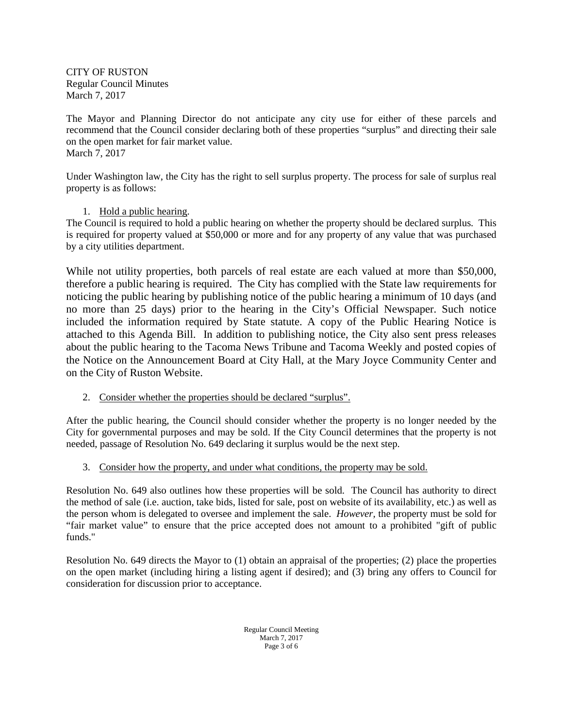The Mayor and Planning Director do not anticipate any city use for either of these parcels and recommend that the Council consider declaring both of these properties "surplus" and directing their sale on the open market for fair market value. March 7, 2017

Under Washington law, the City has the right to sell surplus property. The process for sale of surplus real property is as follows:

#### 1. Hold a public hearing.

The Council is required to hold a public hearing on whether the property should be declared surplus. This is required for property valued at \$50,000 or more and for any property of any value that was purchased by a city utilities department.

While not utility properties, both parcels of real estate are each valued at more than \$50,000, therefore a public hearing is required. The City has complied with the State law requirements for noticing the public hearing by publishing notice of the public hearing a minimum of 10 days (and no more than 25 days) prior to the hearing in the City's Official Newspaper. Such notice included the information required by State statute. A copy of the Public Hearing Notice is attached to this Agenda Bill. In addition to publishing notice, the City also sent press releases about the public hearing to the Tacoma News Tribune and Tacoma Weekly and posted copies of the Notice on the Announcement Board at City Hall, at the Mary Joyce Community Center and on the City of Ruston Website.

# 2. Consider whether the properties should be declared "surplus".

After the public hearing, the Council should consider whether the property is no longer needed by the City for governmental purposes and may be sold. If the City Council determines that the property is not needed, passage of Resolution No. 649 declaring it surplus would be the next step.

# 3. Consider how the property, and under what conditions, the property may be sold.

Resolution No. 649 also outlines how these properties will be sold. The Council has authority to direct the method of sale (i.e. auction, take bids, listed for sale, post on website of its availability, etc.) as well as the person whom is delegated to oversee and implement the sale. *However,* the property must be sold for "fair market value" to ensure that the price accepted does not amount to a prohibited "gift of public funds."

Resolution No. 649 directs the Mayor to (1) obtain an appraisal of the properties; (2) place the properties on the open market (including hiring a listing agent if desired); and (3) bring any offers to Council for consideration for discussion prior to acceptance.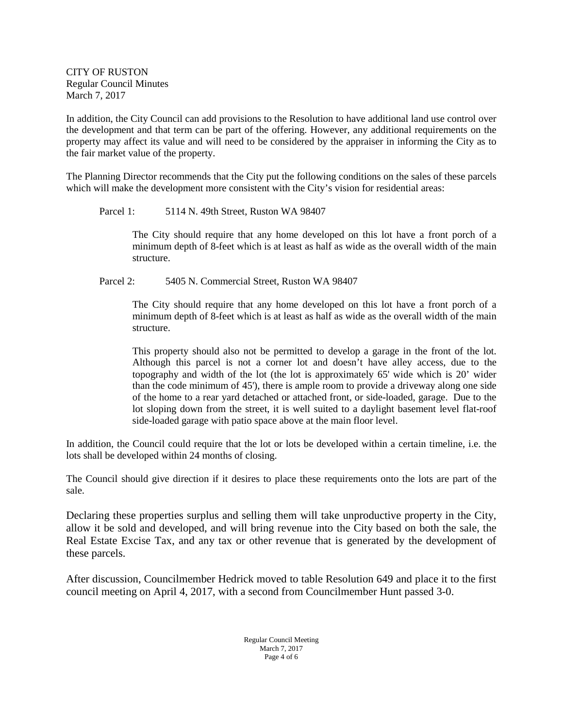In addition, the City Council can add provisions to the Resolution to have additional land use control over the development and that term can be part of the offering. However, any additional requirements on the property may affect its value and will need to be considered by the appraiser in informing the City as to the fair market value of the property.

The Planning Director recommends that the City put the following conditions on the sales of these parcels which will make the development more consistent with the City's vision for residential areas:

Parcel 1: 5114 N. 49th Street, Ruston WA 98407

The City should require that any home developed on this lot have a front porch of a minimum depth of 8-feet which is at least as half as wide as the overall width of the main structure.

Parcel 2: 5405 N. Commercial Street, Ruston WA 98407

The City should require that any home developed on this lot have a front porch of a minimum depth of 8-feet which is at least as half as wide as the overall width of the main structure.

This property should also not be permitted to develop a garage in the front of the lot. Although this parcel is not a corner lot and doesn't have alley access, due to the topography and width of the lot (the lot is approximately 65' wide which is 20' wider than the code minimum of 45'), there is ample room to provide a driveway along one side of the home to a rear yard detached or attached front, or side-loaded, garage. Due to the lot sloping down from the street, it is well suited to a daylight basement level flat-roof side-loaded garage with patio space above at the main floor level.

In addition, the Council could require that the lot or lots be developed within a certain timeline, i.e. the lots shall be developed within 24 months of closing.

The Council should give direction if it desires to place these requirements onto the lots are part of the sale.

Declaring these properties surplus and selling them will take unproductive property in the City, allow it be sold and developed, and will bring revenue into the City based on both the sale, the Real Estate Excise Tax, and any tax or other revenue that is generated by the development of these parcels.

After discussion, Councilmember Hedrick moved to table Resolution 649 and place it to the first council meeting on April 4, 2017, with a second from Councilmember Hunt passed 3-0.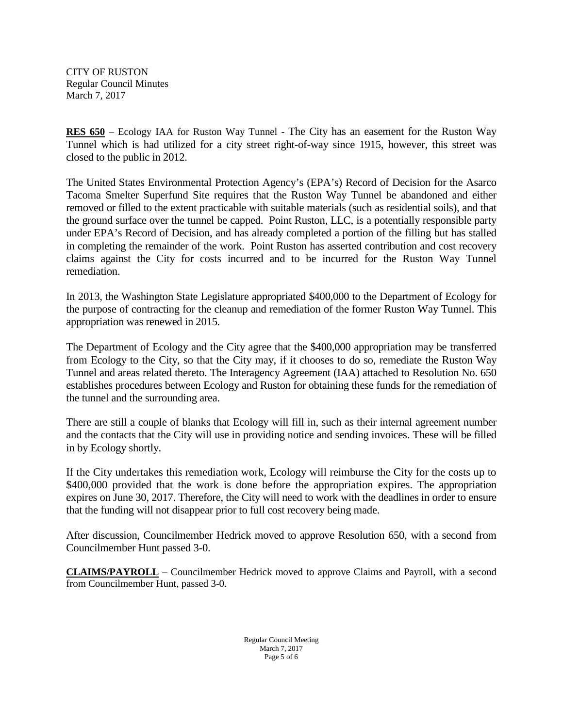**RES 650** – Ecology IAA for Ruston Way Tunnel - The City has an easement for the Ruston Way Tunnel which is had utilized for a city street right-of-way since 1915, however, this street was closed to the public in 2012.

The United States Environmental Protection Agency's (EPA's) Record of Decision for the Asarco Tacoma Smelter Superfund Site requires that the Ruston Way Tunnel be abandoned and either removed or filled to the extent practicable with suitable materials (such as residential soils), and that the ground surface over the tunnel be capped. Point Ruston, LLC, is a potentially responsible party under EPA's Record of Decision, and has already completed a portion of the filling but has stalled in completing the remainder of the work. Point Ruston has asserted contribution and cost recovery claims against the City for costs incurred and to be incurred for the Ruston Way Tunnel remediation.

In 2013, the Washington State Legislature appropriated \$400,000 to the Department of Ecology for the purpose of contracting for the cleanup and remediation of the former Ruston Way Tunnel. This appropriation was renewed in 2015.

The Department of Ecology and the City agree that the \$400,000 appropriation may be transferred from Ecology to the City, so that the City may, if it chooses to do so, remediate the Ruston Way Tunnel and areas related thereto. The Interagency Agreement (IAA) attached to Resolution No. 650 establishes procedures between Ecology and Ruston for obtaining these funds for the remediation of the tunnel and the surrounding area.

There are still a couple of blanks that Ecology will fill in, such as their internal agreement number and the contacts that the City will use in providing notice and sending invoices. These will be filled in by Ecology shortly.

If the City undertakes this remediation work, Ecology will reimburse the City for the costs up to \$400,000 provided that the work is done before the appropriation expires. The appropriation expires on June 30, 2017. Therefore, the City will need to work with the deadlines in order to ensure that the funding will not disappear prior to full cost recovery being made.

After discussion, Councilmember Hedrick moved to approve Resolution 650, with a second from Councilmember Hunt passed 3-0.

**CLAIMS/PAYROLL** – Councilmember Hedrick moved to approve Claims and Payroll, with a second from Councilmember Hunt, passed 3-0.